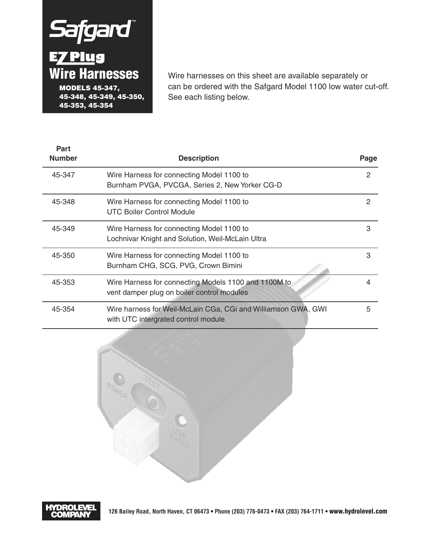# Safgard **Wire Harnesses MODELS 45-347, 45-348, 45-349, 45-350, 45-353, 45-354**

**Part** 

Wire harnesses on this sheet are available separately or can be ordered with the Safgard Model 1100 low water cut-off. See each listing below.

| гаı l<br><b>Number</b> | <b>Description</b>                                                                                   | Page |
|------------------------|------------------------------------------------------------------------------------------------------|------|
| 45-347                 | Wire Harness for connecting Model 1100 to<br>Burnham PVGA, PVCGA, Series 2, New Yorker CG-D          | 2    |
| 45-348                 | Wire Harness for connecting Model 1100 to<br><b>UTC Boiler Control Module</b>                        | 2    |
| 45-349                 | Wire Harness for connecting Model 1100 to<br>Lochnivar Knight and Solution, Weil-McLain Ultra        | 3    |
| 45-350                 | Wire Harness for connecting Model 1100 to<br>Burnham CHG, SCG, PVG, Crown Bimini                     | 3    |
| 45-353                 | Wire Harness for connecting Models 1100 and 1100M to<br>vent damper plug on boiler control modules   | 4    |
| 45-354                 | Wire harness for Weil-McLain CGa, CGi and Williamson GWA, GWI<br>with UTC intergrated control module | 5    |



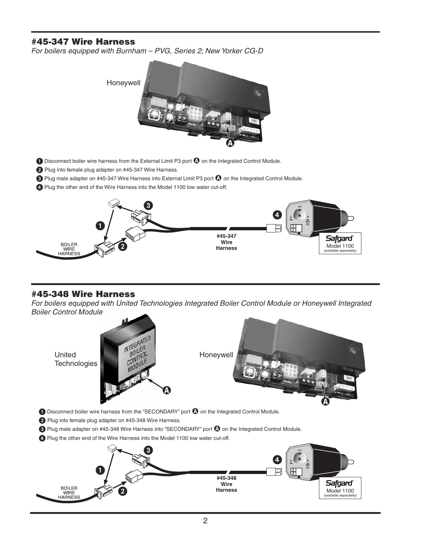# **#45-347 Wire Harness**

*For boilers equipped with Burnham – PVG, Series 2; New Yorker CG-D*



**ID** Disconnect boiler wire harness from the External Limit P3 port  $\Omega$  on the Integrated Control Module.

2 Plug into female plug adapter on #45-347 Wire Harness.

<sup>2</sup> Plug male adapter on #45-347 Wire Harness into External Limit P3 port <sup>1</sup> on the Integrated Control Module.

Plug the other end of the Wire Harness into the Model 1100 low water cut-off.



# **#45-348 Wire Harness**

*For boilers equipped with United Technologies Integrated Boiler Control Module or Honeywell Integrated Boiler Control Module*

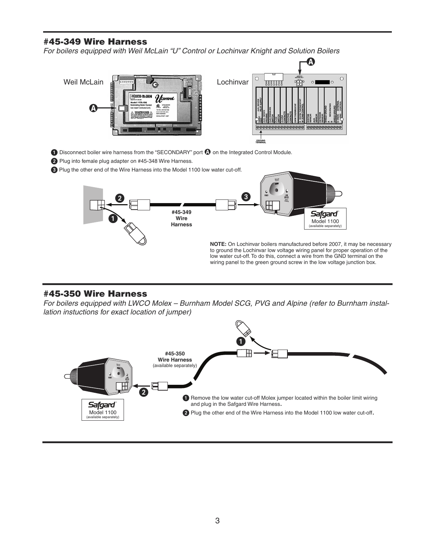# **#45-349 Wire Harness**

*For boilers equipped with Weil McLain "U" Control or Lochinvar Knight and Solution Boilers*



**O** Disconnect boiler wire harness from the "SECONDARY" port **O** on the Integrated Control Module.

2 Plug into female plug adapter on #45-348 Wire Harness.

Plug the other end of the Wire Harness into the Model 1100 low water cut-off.



### **#45-350 Wire Harness**

*For boilers equipped with LWCO Molex – Burnham Model SCG, PVG and Alpine (refer to Burnham installation instuctions for exact location of jumper)*

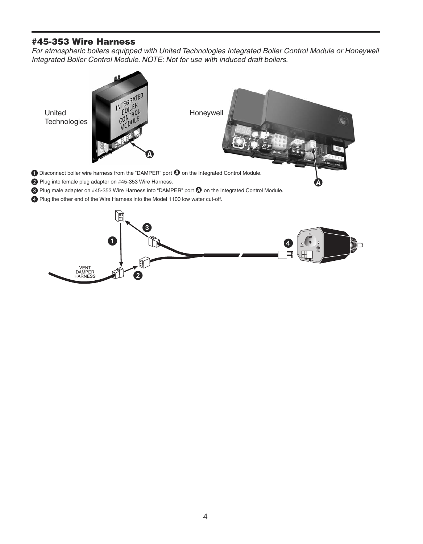# **#45-353 Wire Harness**

VENT<br>DAMPER<br>HARNESS

*For atmospheric boilers equipped with United Technologies Integrated Boiler Control Module or Honeywell Integrated Boiler Control Module. NOTE: Not for use with induced draft boilers.*



 $\overline{2}$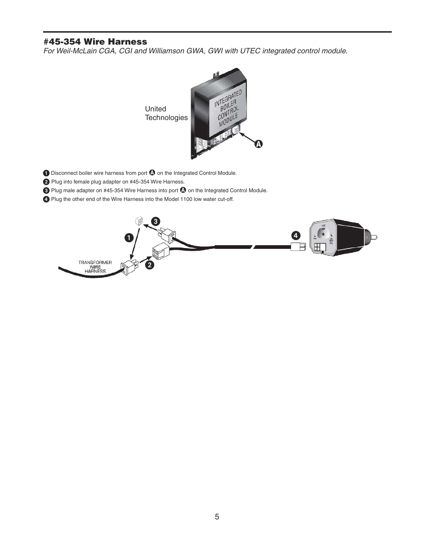# **#45-354 Wire Harness**

*For Weil-McLain CGA, CGI and Williamson GWA, GWI with UTEC integrated control module.*



- **O** Disconnect boiler wire harness from port **O** on the Integrated Control Module.
- 2 Plug into female plug adapter on #45-354 Wire Harness.
- **8** Plug male adapter on #45-354 Wire Harness into port **(3)** on the Integrated Control Module.
- Plug the other end of the Wire Harness into the Model 1100 low water cut-off.